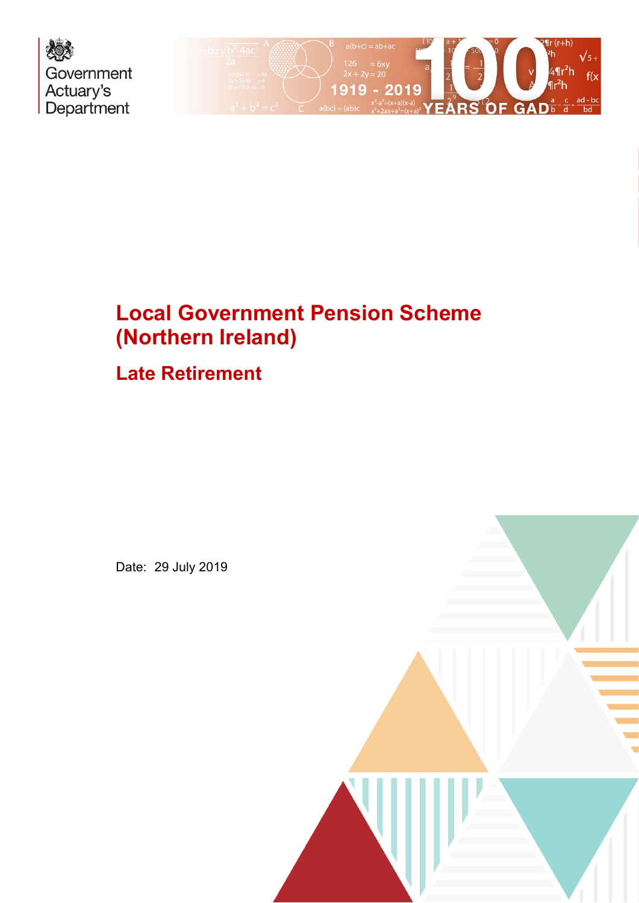



# **Late Retirement**

Date: 29 July 2019

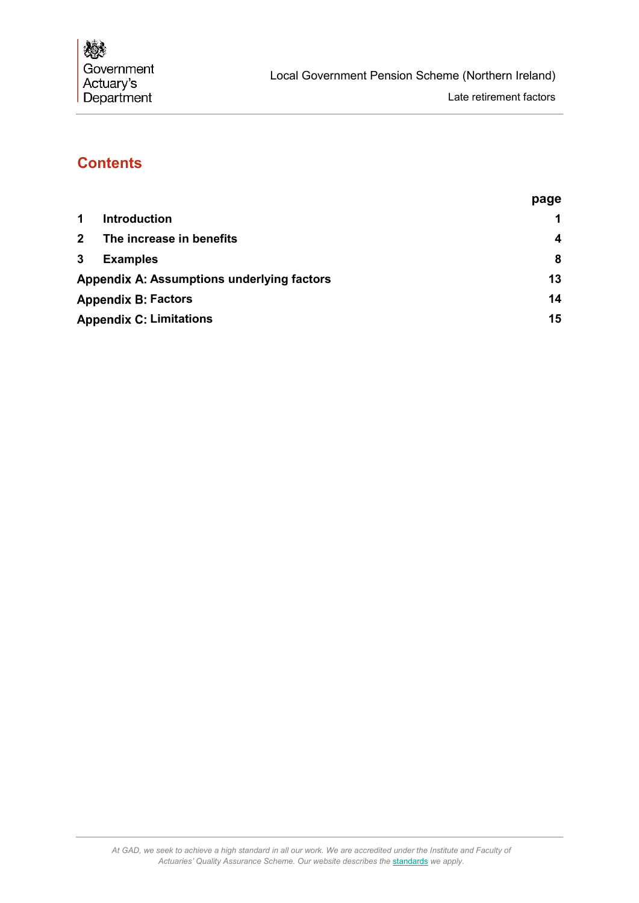# **Contents**

|                                                     | page |
|-----------------------------------------------------|------|
| 1.<br><b>Introduction</b>                           | 1    |
| $\overline{\mathbf{2}}$<br>The increase in benefits | 4    |
| 3<br><b>Examples</b>                                | 8    |
| Appendix A: Assumptions underlying factors          | 13   |
| <b>Appendix B: Factors</b>                          | 14   |
| <b>Appendix C: Limitations</b>                      | 15   |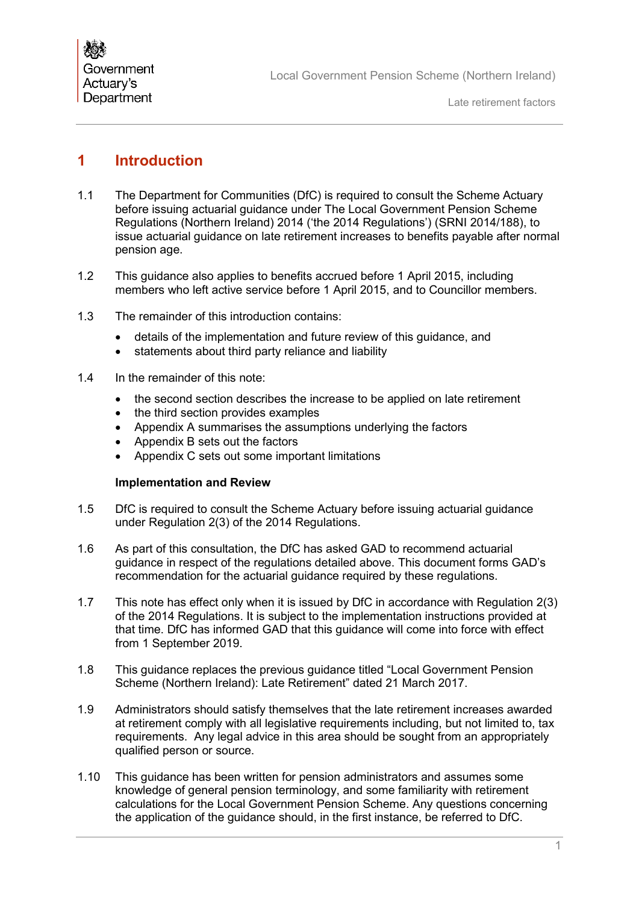# <span id="page-2-0"></span>**1 Introduction**

- 1.1 The Department for Communities (DfC) is required to consult the Scheme Actuary before issuing actuarial guidance under The Local Government Pension Scheme Regulations (Northern Ireland) 2014 ('the 2014 Regulations') (SRNI 2014/188), to issue actuarial guidance on late retirement increases to benefits payable after normal pension age.
- 1.2 This guidance also applies to benefits accrued before 1 April 2015, including members who left active service before 1 April 2015, and to Councillor members.
- 1.3 The remainder of this introduction contains:
	- details of the implementation and future review of this guidance, and
	- statements about third party reliance and liability
- 1.4 In the remainder of this note:
	- the second section describes the increase to be applied on late retirement
	- the third section provides examples
	- Appendix A summarises the assumptions underlying the factors
	- Appendix B sets out the factors
	- Appendix C sets out some important limitations

#### **Implementation and Review**

- 1.5 DfC is required to consult the Scheme Actuary before issuing actuarial guidance under Regulation 2(3) of the 2014 Regulations.
- 1.6 As part of this consultation, the DfC has asked GAD to recommend actuarial guidance in respect of the regulations detailed above. This document forms GAD's recommendation for the actuarial guidance required by these regulations.
- 1.7 This note has effect only when it is issued by DfC in accordance with Regulation 2(3) of the 2014 Regulations. It is subject to the implementation instructions provided at that time. DfC has informed GAD that this guidance will come into force with effect from 1 September 2019.
- 1.8 This guidance replaces the previous guidance titled "Local Government Pension Scheme (Northern Ireland): Late Retirement" dated 21 March 2017.
- 1.9 Administrators should satisfy themselves that the late retirement increases awarded at retirement comply with all legislative requirements including, but not limited to, tax requirements. Any legal advice in this area should be sought from an appropriately qualified person or source.
- 1.10 This guidance has been written for pension administrators and assumes some knowledge of general pension terminology, and some familiarity with retirement calculations for the Local Government Pension Scheme. Any questions concerning the application of the guidance should, in the first instance, be referred to DfC.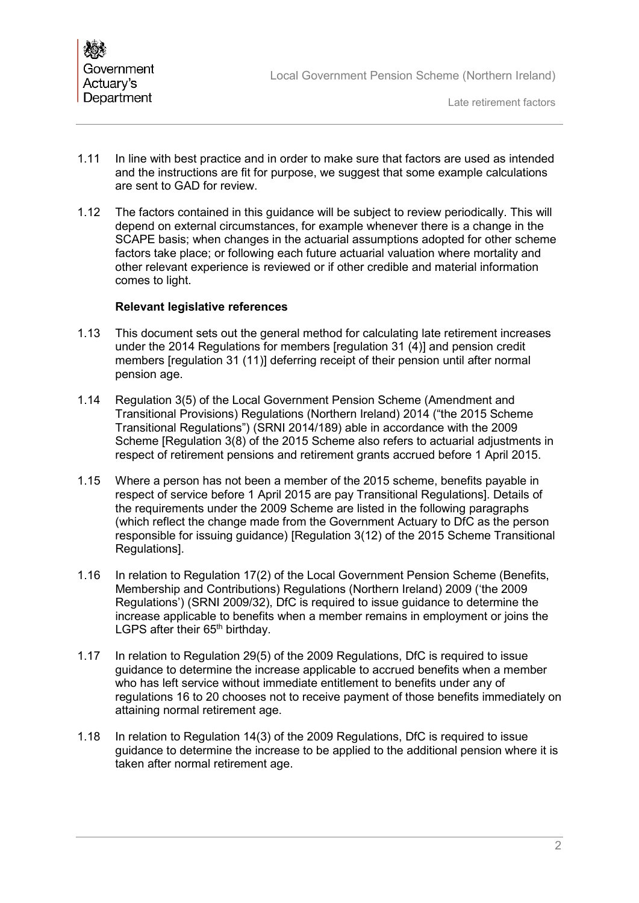

- 1.11 In line with best practice and in order to make sure that factors are used as intended and the instructions are fit for purpose, we suggest that some example calculations are sent to GAD for review.
- 1.12 The factors contained in this guidance will be subject to review periodically. This will depend on external circumstances, for example whenever there is a change in the SCAPE basis; when changes in the actuarial assumptions adopted for other scheme factors take place; or following each future actuarial valuation where mortality and other relevant experience is reviewed or if other credible and material information comes to light.

#### **Relevant legislative references**

- 1.13 This document sets out the general method for calculating late retirement increases under the 2014 Regulations for members [regulation 31 (4)] and pension credit members [requiation 31 (11)] deferring receipt of their pension until after normal pension age.
- 1.14 Regulation 3(5) of the Local Government Pension Scheme (Amendment and Transitional Provisions) Regulations (Northern Ireland) 2014 ("the 2015 Scheme Transitional Regulations") (SRNI 2014/189) able in accordance with the 2009 Scheme [Regulation 3(8) of the 2015 Scheme also refers to actuarial adjustments in respect of retirement pensions and retirement grants accrued before 1 April 2015.
- 1.15 Where a person has not been a member of the 2015 scheme, benefits payable in respect of service before 1 April 2015 are pay Transitional Regulations]. Details of the requirements under the 2009 Scheme are listed in the following paragraphs (which reflect the change made from the Government Actuary to DfC as the person responsible for issuing guidance) [Regulation 3(12) of the 2015 Scheme Transitional Regulations].
- 1.16 In relation to Regulation 17(2) of the Local Government Pension Scheme (Benefits, Membership and Contributions) Regulations (Northern Ireland) 2009 ('the 2009 Regulations') (SRNI 2009/32), DfC is required to issue guidance to determine the increase applicable to benefits when a member remains in employment or joins the LGPS after their 65<sup>th</sup> birthday.
- 1.17 In relation to Regulation 29(5) of the 2009 Regulations, DfC is required to issue guidance to determine the increase applicable to accrued benefits when a member who has left service without immediate entitlement to benefits under any of regulations 16 to 20 chooses not to receive payment of those benefits immediately on attaining normal retirement age.
- 1.18 In relation to Regulation 14(3) of the 2009 Regulations, DfC is required to issue guidance to determine the increase to be applied to the additional pension where it is taken after normal retirement age.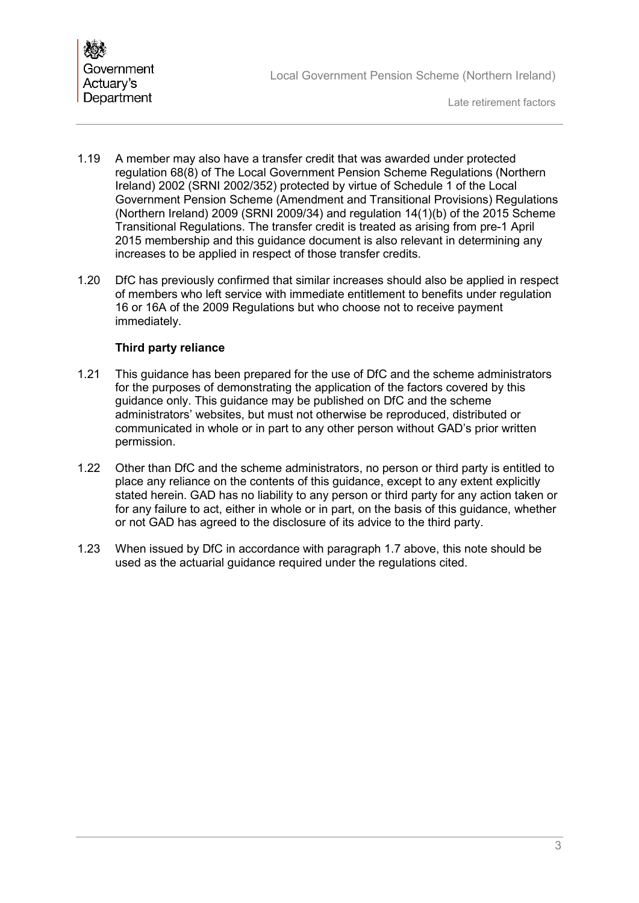

- 1.19 A member may also have a transfer credit that was awarded under protected regulation 68(8) of The Local Government Pension Scheme Regulations (Northern Ireland) 2002 (SRNI 2002/352) protected by virtue of Schedule 1 of the Local Government Pension Scheme (Amendment and Transitional Provisions) Regulations (Northern Ireland) 2009 (SRNI 2009/34) and regulation 14(1)(b) of the 2015 Scheme Transitional Regulations. The transfer credit is treated as arising from pre-1 April 2015 membership and this guidance document is also relevant in determining any increases to be applied in respect of those transfer credits.
- 1.20 DfC has previously confirmed that similar increases should also be applied in respect of members who left service with immediate entitlement to benefits under regulation 16 or 16A of the 2009 Regulations but who choose not to receive payment immediately.

#### **Third party reliance**

- 1.21 This guidance has been prepared for the use of DfC and the scheme administrators for the purposes of demonstrating the application of the factors covered by this guidance only. This guidance may be published on DfC and the scheme administrators' websites, but must not otherwise be reproduced, distributed or communicated in whole or in part to any other person without GAD's prior written permission.
- 1.22 Other than DfC and the scheme administrators, no person or third party is entitled to place any reliance on the contents of this guidance, except to any extent explicitly stated herein. GAD has no liability to any person or third party for any action taken or for any failure to act, either in whole or in part, on the basis of this guidance, whether or not GAD has agreed to the disclosure of its advice to the third party.
- 1.23 When issued by DfC in accordance with paragraph 1.7 above, this note should be used as the actuarial guidance required under the regulations cited.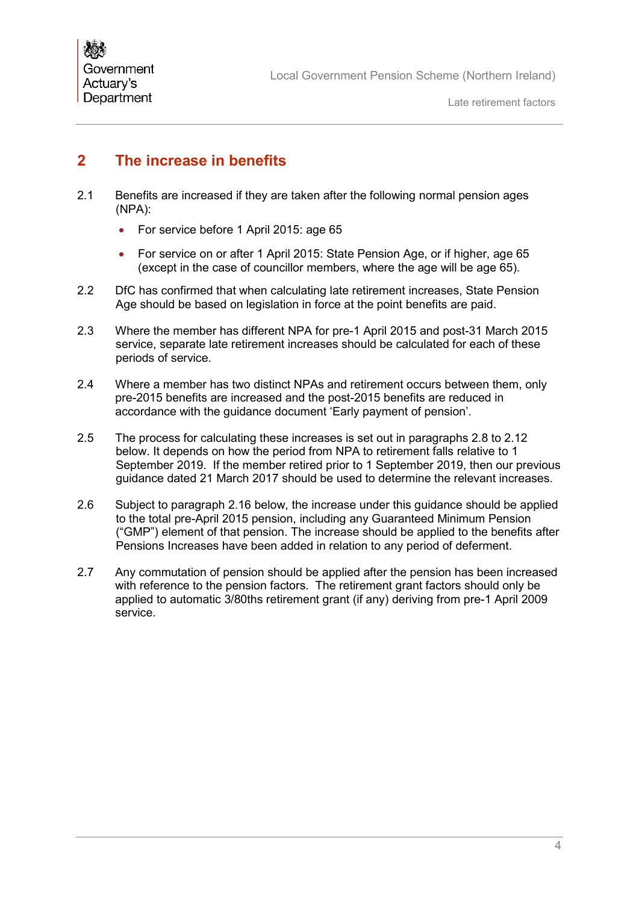# <span id="page-5-0"></span>**2 The increase in benefits**

- <span id="page-5-1"></span>2.1 Benefits are increased if they are taken after the following normal pension ages (NPA):
	- For service before 1 April 2015: age 65
	- For service on or after 1 April 2015: State Pension Age, or if higher, age 65 (except in the case of councillor members, where the age will be age 65).
- 2.2 DfC has confirmed that when calculating late retirement increases, State Pension Age should be based on legislation in force at the point benefits are paid.
- 2.3 Where the member has different NPA for pre-1 April 2015 and post-31 March 2015 service, separate late retirement increases should be calculated for each of these periods of service.
- 2.4 Where a member has two distinct NPAs and retirement occurs between them, only pre-2015 benefits are increased and the post-2015 benefits are reduced in accordance with the guidance document 'Early payment of pension'.
- 2.5 The process for calculating these increases is set out in paragraphs 2.8 to 2.12 below. It depends on how the period from NPA to retirement falls relative to 1 September 2019. If the member retired prior to 1 September 2019, then our previous guidance dated 21 March 2017 should be used to determine the relevant increases.
- 2.6 Subject to paragraph 2.16 below, the increase under this guidance should be applied to the total pre-April 2015 pension, including any Guaranteed Minimum Pension ("GMP") element of that pension. The increase should be applied to the benefits after Pensions Increases have been added in relation to any period of deferment.
- 2.7 Any commutation of pension should be applied after the pension has been increased with reference to the pension factors. The retirement grant factors should only be applied to automatic 3/80ths retirement grant (if any) deriving from pre-1 April 2009 service.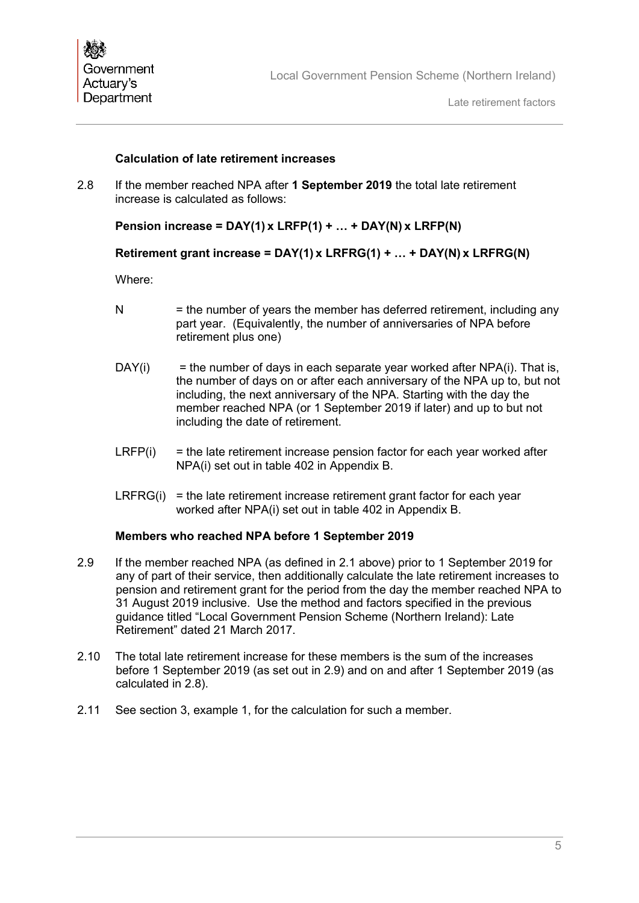#### **Calculation of late retirement increases**

2.8 If the member reached NPA after **1 September 2019** the total late retirement increase is calculated as follows:

### **Pension increase = DAY(1) x LRFP(1) + … + DAY(N) x LRFP(N)**

#### **Retirement grant increase = DAY(1) x LRFRG(1) + … + DAY(N) x LRFRG(N)**

Where:

- $N =$  the number of years the member has deferred retirement, including any part year. (Equivalently, the number of anniversaries of NPA before retirement plus one)
- $DAY(i)$  = the number of days in each separate year worked after  $NPA(i)$ . That is, the number of days on or after each anniversary of the NPA up to, but not including, the next anniversary of the NPA. Starting with the day the member reached NPA (or 1 September 2019 if later) and up to but not including the date of retirement.
- $LRFP(i)$  = the late retirement increase pension factor for each year worked after NPA(i) set out in table 402 in Appendix B.
- $LRFRG(i) =$  the late retirement increase retirement grant factor for each year worked after NPA(i) set out in table 402 in Appendix B.

#### **Members who reached NPA before 1 September 2019**

- 2.9 If the member reached NPA (as defined in [2.1](#page-5-1) above) prior to 1 September 2019 for any of part of their service, then additionally calculate the late retirement increases to pension and retirement grant for the period from the day the member reached NPA to 31 August 2019 inclusive. Use the method and factors specified in the previous guidance titled "Local Government Pension Scheme (Northern Ireland): Late Retirement" dated 21 March 2017.
- 2.10 The total late retirement increase for these members is the sum of the increases before 1 September 2019 (as set out in 2.9) and on and after 1 September 2019 (as calculated in 2.8).
- 2.11 See section 3, example 1, for the calculation for such a member.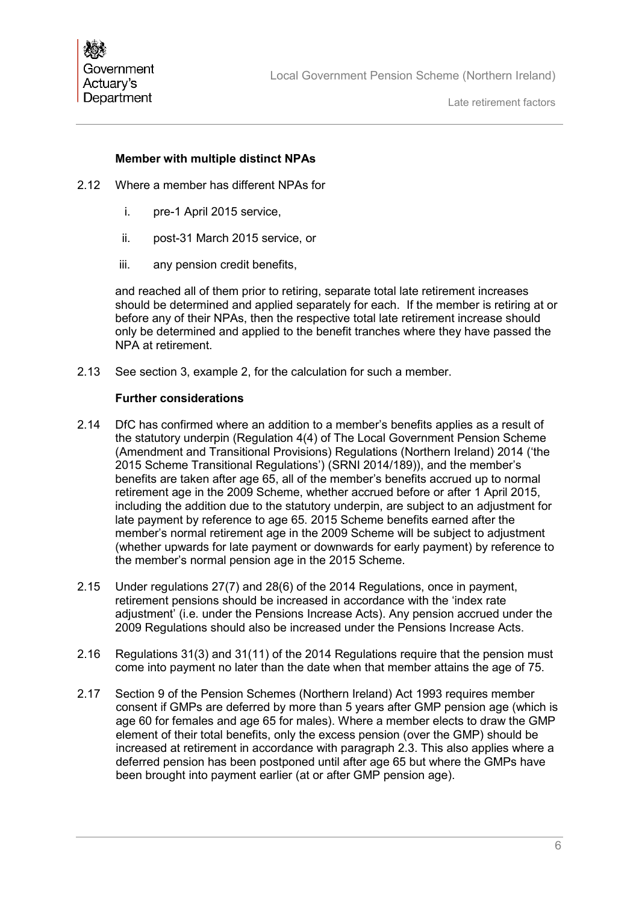#### **Member with multiple distinct NPAs**

- 2.12 Where a member has different NPAs for
	- i. pre-1 April 2015 service,
	- ii. post-31 March 2015 service, or
	- iii. any pension credit benefits,

and reached all of them prior to retiring, separate total late retirement increases should be determined and applied separately for each. If the member is retiring at or before any of their NPAs, then the respective total late retirement increase should only be determined and applied to the benefit tranches where they have passed the NPA at retirement.

2.13 See section 3, example 2, for the calculation for such a member.

#### **Further considerations**

- 2.14 DfC has confirmed where an addition to a member's benefits applies as a result of the statutory underpin (Regulation 4(4) of The Local Government Pension Scheme (Amendment and Transitional Provisions) Regulations (Northern Ireland) 2014 ('the 2015 Scheme Transitional Regulations') (SRNI 2014/189)), and the member's benefits are taken after age 65, all of the member's benefits accrued up to normal retirement age in the 2009 Scheme, whether accrued before or after 1 April 2015, including the addition due to the statutory underpin, are subject to an adjustment for late payment by reference to age 65. 2015 Scheme benefits earned after the member's normal retirement age in the 2009 Scheme will be subject to adjustment (whether upwards for late payment or downwards for early payment) by reference to the member's normal pension age in the 2015 Scheme.
- 2.15 Under regulations 27(7) and 28(6) of the 2014 Regulations, once in payment, retirement pensions should be increased in accordance with the 'index rate adjustment' (i.e. under the Pensions Increase Acts). Any pension accrued under the 2009 Regulations should also be increased under the Pensions Increase Acts.
- 2.16 Regulations 31(3) and 31(11) of the 2014 Regulations require that the pension must come into payment no later than the date when that member attains the age of 75.
- 2.17 Section 9 of the Pension Schemes (Northern Ireland) Act 1993 requires member consent if GMPs are deferred by more than 5 years after GMP pension age (which is age 60 for females and age 65 for males). Where a member elects to draw the GMP element of their total benefits, only the excess pension (over the GMP) should be increased at retirement in accordance with paragraph 2.3. This also applies where a deferred pension has been postponed until after age 65 but where the GMPs have been brought into payment earlier (at or after GMP pension age).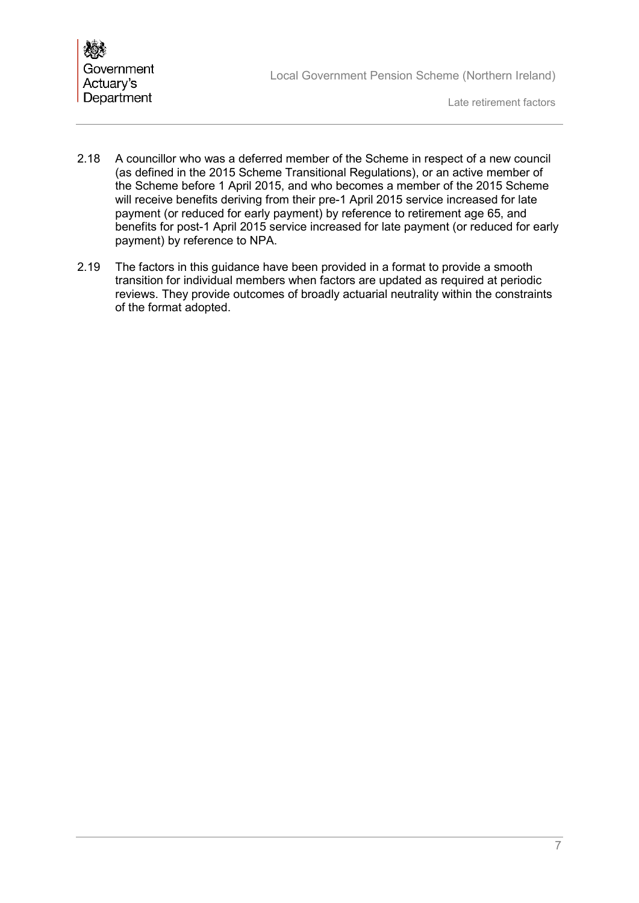

Late retirement factors

- 2.18 A councillor who was a deferred member of the Scheme in respect of a new council (as defined in the 2015 Scheme Transitional Regulations), or an active member of the Scheme before 1 April 2015, and who becomes a member of the 2015 Scheme will receive benefits deriving from their pre-1 April 2015 service increased for late payment (or reduced for early payment) by reference to retirement age 65, and benefits for post-1 April 2015 service increased for late payment (or reduced for early payment) by reference to NPA.
- 2.19 The factors in this guidance have been provided in a format to provide a smooth transition for individual members when factors are updated as required at periodic reviews. They provide outcomes of broadly actuarial neutrality within the constraints of the format adopted.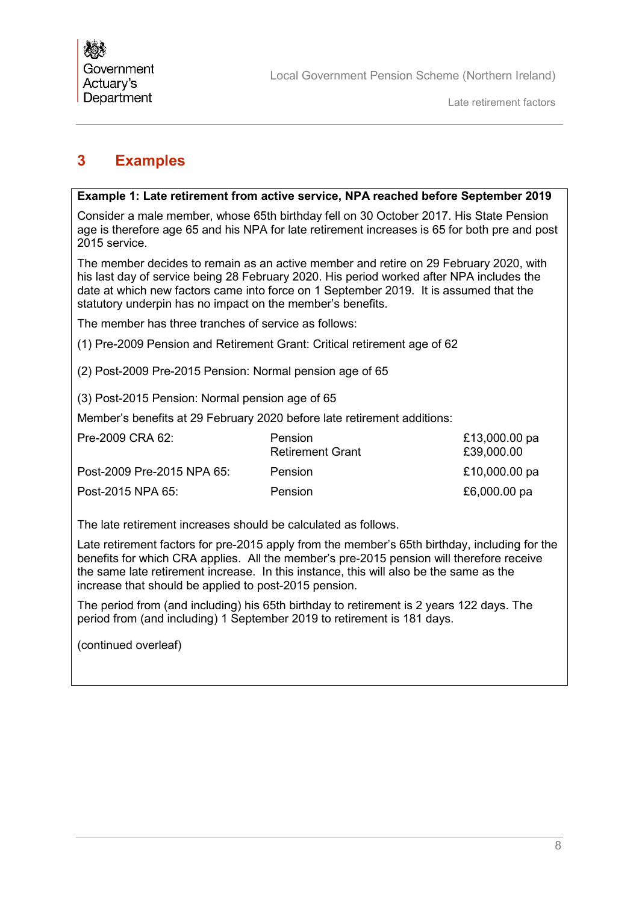## <span id="page-9-0"></span>**3 Examples**

#### **Example 1: Late retirement from active service, NPA reached before September 2019**

Consider a male member, whose 65th birthday fell on 30 October 2017. His State Pension age is therefore age 65 and his NPA for late retirement increases is 65 for both pre and post 2015 service.

The member decides to remain as an active member and retire on 29 February 2020, with his last day of service being 28 February 2020. His period worked after NPA includes the date at which new factors came into force on 1 September 2019. It is assumed that the statutory underpin has no impact on the member's benefits.

The member has three tranches of service as follows:

(1) Pre-2009 Pension and Retirement Grant: Critical retirement age of 62

(2) Post-2009 Pre-2015 Pension: Normal pension age of 65

(3) Post-2015 Pension: Normal pension age of 65

Member's benefits at 29 February 2020 before late retirement additions:

| Pre-2009 CRA 62:           | <b>Pension</b><br><b>Retirement Grant</b> | £13,000.00 pa<br>£39,000.00 |
|----------------------------|-------------------------------------------|-----------------------------|
| Post-2009 Pre-2015 NPA 65: | Pension                                   | £10,000.00 pa               |
| Post-2015 NPA 65:          | Pension                                   | £6,000.00 pa                |

The late retirement increases should be calculated as follows.

Late retirement factors for pre-2015 apply from the member's 65th birthday, including for the benefits for which CRA applies. All the member's pre-2015 pension will therefore receive the same late retirement increase. In this instance, this will also be the same as the increase that should be applied to post-2015 pension.

The period from (and including) his 65th birthday to retirement is 2 years 122 days. The period from (and including) 1 September 2019 to retirement is 181 days.

(continued overleaf)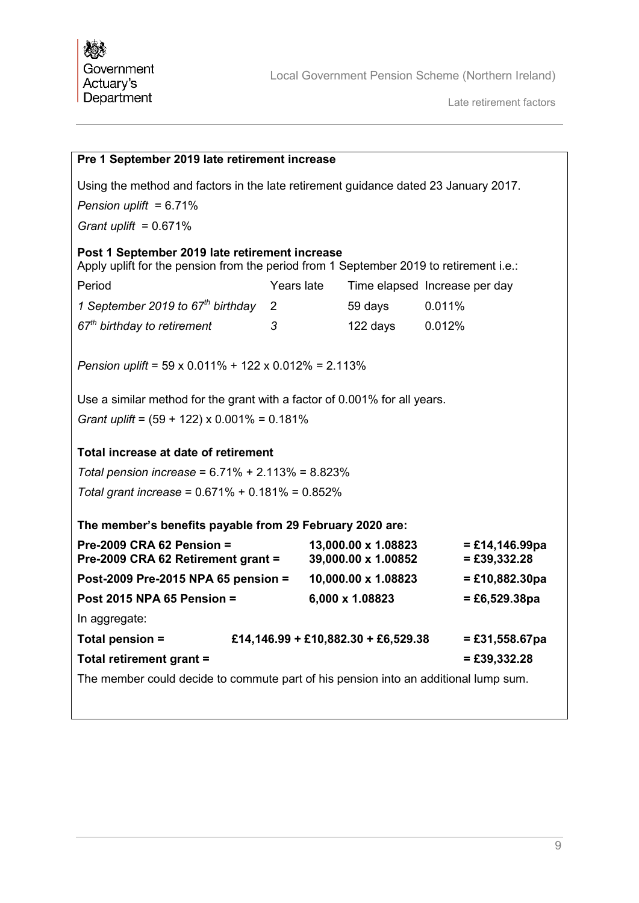| Pre 1 September 2019 late retirement increase                                                                                                    |                                     |  |                                            |                                     |
|--------------------------------------------------------------------------------------------------------------------------------------------------|-------------------------------------|--|--------------------------------------------|-------------------------------------|
| Using the method and factors in the late retirement guidance dated 23 January 2017.                                                              |                                     |  |                                            |                                     |
| Pension uplift = $6.71\%$                                                                                                                        |                                     |  |                                            |                                     |
| Grant uplift = $0.671\%$                                                                                                                         |                                     |  |                                            |                                     |
| Post 1 September 2019 late retirement increase<br>Apply uplift for the pension from the period from 1 September 2019 to retirement i.e.:         |                                     |  |                                            |                                     |
| Period                                                                                                                                           | Years late                          |  |                                            | Time elapsed Increase per day       |
| 1 September 2019 to $67th$ birthday                                                                                                              | $\overline{2}$                      |  | 59 days                                    | 0.011%                              |
| $67th$ birthday to retirement                                                                                                                    | 3                                   |  | 122 days                                   | 0.012%                              |
| Pension uplift = $59 \times 0.011\% + 122 \times 0.012\% = 2.113\%$<br>Use a similar method for the grant with a factor of 0.001% for all years. |                                     |  |                                            |                                     |
|                                                                                                                                                  |                                     |  |                                            |                                     |
| Grant uplift = $(59 + 122) \times 0.001\% = 0.181\%$                                                                                             |                                     |  |                                            |                                     |
| Total increase at date of retirement                                                                                                             |                                     |  |                                            |                                     |
| Total pension increase = $6.71\% + 2.113\% = 8.823\%$                                                                                            |                                     |  |                                            |                                     |
| Total grant increase = $0.671\% + 0.181\% = 0.852\%$                                                                                             |                                     |  |                                            |                                     |
| The member's benefits payable from 29 February 2020 are:                                                                                         |                                     |  |                                            |                                     |
| Pre-2009 CRA 62 Pension $=$<br>Pre-2009 CRA 62 Retirement grant =                                                                                |                                     |  | 13,000.00 x 1.08823<br>39,000.00 x 1.00852 | $= £14,146.99$ pa<br>$= £39,332.28$ |
| Post-2009 Pre-2015 NPA 65 pension =                                                                                                              |                                     |  | 10,000.00 x 1.08823                        | $= £10,882.30pa$                    |
| <b>Post 2015 NPA 65 Pension =</b>                                                                                                                |                                     |  | 6,000 x 1.08823                            | $= £6,529.38pa$                     |
| In aggregate:                                                                                                                                    |                                     |  |                                            |                                     |
| Total pension =                                                                                                                                  | £14,146.99 + £10,882.30 + £6,529.38 |  |                                            | $= £31,558.67pa$                    |
| Total retirement grant =                                                                                                                         |                                     |  |                                            | $= £39,332.28$                      |
| The member could decide to commute part of his pension into an additional lump sum.                                                              |                                     |  |                                            |                                     |
|                                                                                                                                                  |                                     |  |                                            |                                     |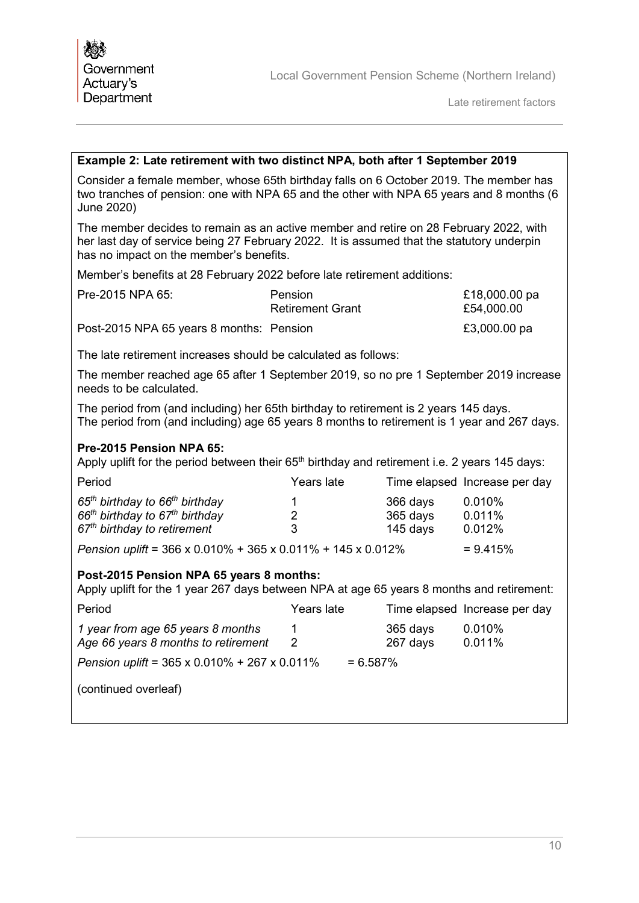Late retirement factors

#### **Example 2: Late retirement with two distinct NPA, both after 1 September 2019**

Consider a female member, whose 65th birthday falls on 6 October 2019. The member has two tranches of pension: one with NPA 65 and the other with NPA 65 years and 8 months (6 June 2020)

The member decides to remain as an active member and retire on 28 February 2022, with her last day of service being 27 February 2022. It is assumed that the statutory underpin has no impact on the member's benefits.

Member's benefits at 28 February 2022 before late retirement additions:

| Pre-2015 NPA 65:                         | Pension<br><b>Retirement Grant</b> | £18,000.00 pa<br>£54,000.00 |
|------------------------------------------|------------------------------------|-----------------------------|
| Post-2015 NPA 65 years 8 months: Pension |                                    | £3,000.00 pa                |

The late retirement increases should be calculated as follows:

The member reached age 65 after 1 September 2019, so no pre 1 September 2019 increase needs to be calculated.

The period from (and including) her 65th birthday to retirement is 2 years 145 days. The period from (and including) age 65 years 8 months to retirement is 1 year and 267 days.

#### **Pre-2015 Pension NPA 65:**

Apply uplift for the period between their  $65<sup>th</sup>$  birthday and retirement i.e. 2 years 145 days:

| Period                                                                          | Years late |            | Time elapsed Increase per day |
|---------------------------------------------------------------------------------|------------|------------|-------------------------------|
| 65 <sup>th</sup> birthday to 66 <sup>th</sup> birthday                          |            | 366 days   | $0.010\%$                     |
| $66th$ birthday to $67th$ birthday                                              | 2          | 365 days   | 0.011%                        |
| 67 <sup>th</sup> birthday to retirement                                         | 3          | 145 days   | 0.012%                        |
| Pension uplift = $366 \times 0.010\% + 365 \times 0.011\% + 145 \times 0.012\%$ |            | $= 9.415%$ |                               |

#### **Post-2015 Pension NPA 65 years 8 months:**

Apply uplift for the 1 year 267 days between NPA at age 65 years 8 months and retirement:

| Period                                                                    | Years late |                      | Time elapsed Increase per day |  |
|---------------------------------------------------------------------------|------------|----------------------|-------------------------------|--|
| 1 year from age 65 years 8 months<br>Age 66 years 8 months to retirement  | 1<br>2     | 365 days<br>267 days | $0.010\%$<br>0.011%           |  |
| Pension uplift = $365 \times 0.010\% + 267 \times 0.011\%$<br>$= 6.587\%$ |            |                      |                               |  |
| (continued overleaf)                                                      |            |                      |                               |  |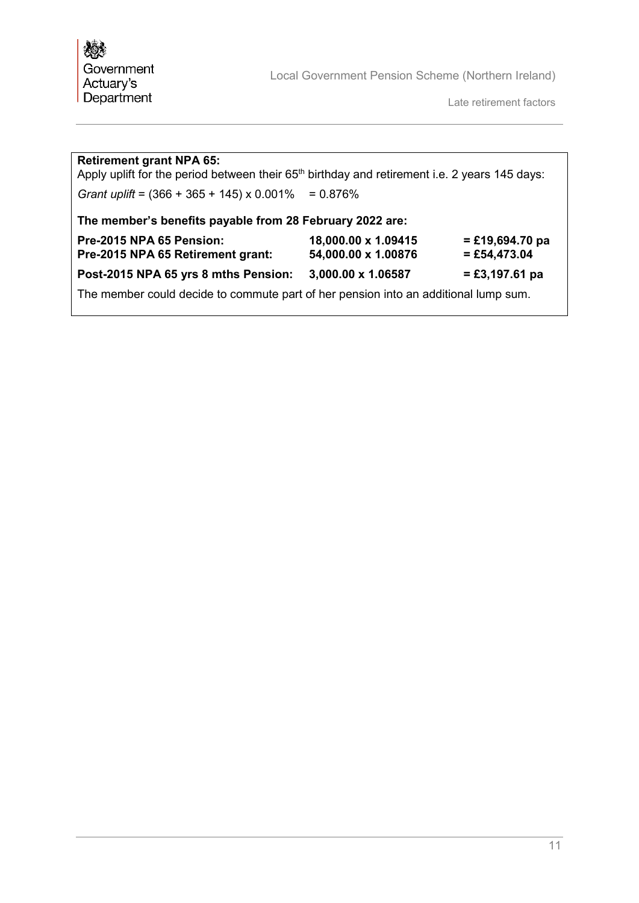Late retirement factors

| <b>Retirement grant NPA 65:</b><br>Apply uplift for the period between their 65 <sup>th</sup> birthday and retirement i.e. 2 years 145 days: |                                            |                                     |  |  |
|----------------------------------------------------------------------------------------------------------------------------------------------|--------------------------------------------|-------------------------------------|--|--|
| Grant uplift = $(366 + 365 + 145) \times 0.001\%$                                                                                            | $= 0.876%$                                 |                                     |  |  |
| The member's benefits payable from 28 February 2022 are:                                                                                     |                                            |                                     |  |  |
| Pre-2015 NPA 65 Pension:<br>Pre-2015 NPA 65 Retirement grant:                                                                                | 18,000.00 x 1.09415<br>54,000.00 x 1.00876 | $=$ £19,694.70 pa<br>$=$ £54,473.04 |  |  |
| Post-2015 NPA 65 yrs 8 mths Pension:                                                                                                         | 3,000.00 x 1.06587                         | $= £3,197.61$ pa                    |  |  |
| The member could decide to commute part of her pension into an additional lump sum.                                                          |                                            |                                     |  |  |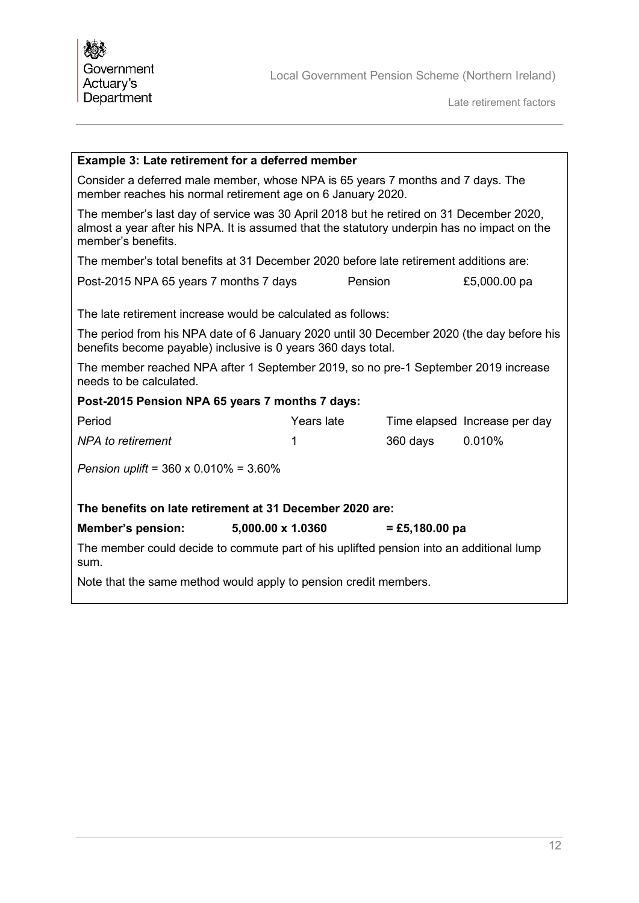| <b>Example 3: Late retirement for a deferred member</b>                                                                                                                                                                    |                   |         |                  |                               |
|----------------------------------------------------------------------------------------------------------------------------------------------------------------------------------------------------------------------------|-------------------|---------|------------------|-------------------------------|
| Consider a deferred male member, whose NPA is 65 years 7 months and 7 days. The<br>member reaches his normal retirement age on 6 January 2020.                                                                             |                   |         |                  |                               |
| The member's last day of service was 30 April 2018 but he retired on 31 December 2020,<br>almost a year after his NPA. It is assumed that the statutory underpin has no impact on the<br>member's benefits.                |                   |         |                  |                               |
| The member's total benefits at 31 December 2020 before late retirement additions are:                                                                                                                                      |                   |         |                  |                               |
| Post-2015 NPA 65 years 7 months 7 days                                                                                                                                                                                     |                   | Pension |                  | £5,000.00 pa                  |
| The late retirement increase would be calculated as follows:<br>The period from his NPA date of 6 January 2020 until 30 December 2020 (the day before his<br>benefits become payable) inclusive is 0 years 360 days total. |                   |         |                  |                               |
| The member reached NPA after 1 September 2019, so no pre-1 September 2019 increase<br>needs to be calculated.                                                                                                              |                   |         |                  |                               |
| Post-2015 Pension NPA 65 years 7 months 7 days:                                                                                                                                                                            |                   |         |                  |                               |
| Period                                                                                                                                                                                                                     | Years late        |         |                  | Time elapsed Increase per day |
| <b>NPA</b> to retirement                                                                                                                                                                                                   | 1                 |         | $360$ days       | 0.010%                        |
| Pension uplift = $360 \times 0.010\% = 3.60\%$                                                                                                                                                                             |                   |         |                  |                               |
| The benefits on late retirement at 31 December 2020 are:                                                                                                                                                                   |                   |         |                  |                               |
| <b>Member's pension:</b>                                                                                                                                                                                                   | 5,000.00 x 1.0360 |         | $=$ £5,180.00 pa |                               |
| The member could decide to commute part of his uplifted pension into an additional lump<br>sum.                                                                                                                            |                   |         |                  |                               |
| Note that the same method would apply to pension credit members.                                                                                                                                                           |                   |         |                  |                               |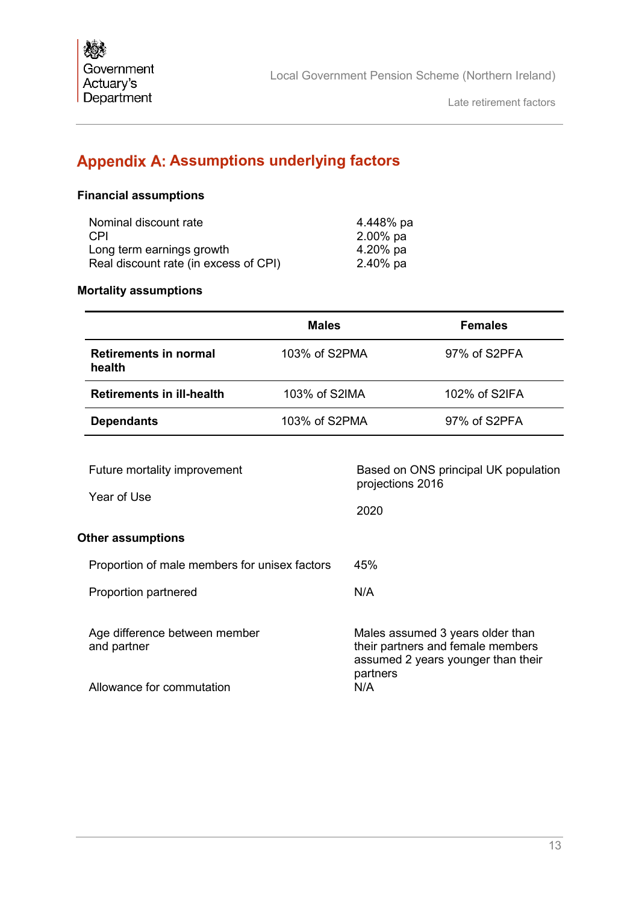# <span id="page-14-0"></span>**Appendix A: Assumptions underlying factors**

### **Financial assumptions**

| Nominal discount rate                 | 4.448% pa   |
|---------------------------------------|-------------|
| CPI                                   | $2.00\%$ pa |
| Long term earnings growth             | $4.20\%$ pa |
| Real discount rate (in excess of CPI) | $2.40\%$ pa |
|                                       |             |

### **Mortality assumptions**

|                                               | <b>Males</b>  |                          | <b>Females</b>                                                                                              |
|-----------------------------------------------|---------------|--------------------------|-------------------------------------------------------------------------------------------------------------|
| <b>Retirements in normal</b><br>health        | 103% of S2PMA |                          | 97% of S2PFA                                                                                                |
| <b>Retirements in ill-health</b>              | 103% of S2IMA |                          | 102% of S2IFA                                                                                               |
| <b>Dependants</b>                             | 103% of S2PMA |                          | 97% of S2PFA                                                                                                |
| Future mortality improvement<br>Year of Use   |               | projections 2016<br>2020 | Based on ONS principal UK population                                                                        |
| <b>Other assumptions</b>                      |               |                          |                                                                                                             |
| Proportion of male members for unisex factors |               | 45%                      |                                                                                                             |
| Proportion partnered                          |               | N/A                      |                                                                                                             |
| Age difference between member<br>and partner  |               | partners                 | Males assumed 3 years older than<br>their partners and female members<br>assumed 2 years younger than their |
| Allowance for commutation                     |               | N/A                      |                                                                                                             |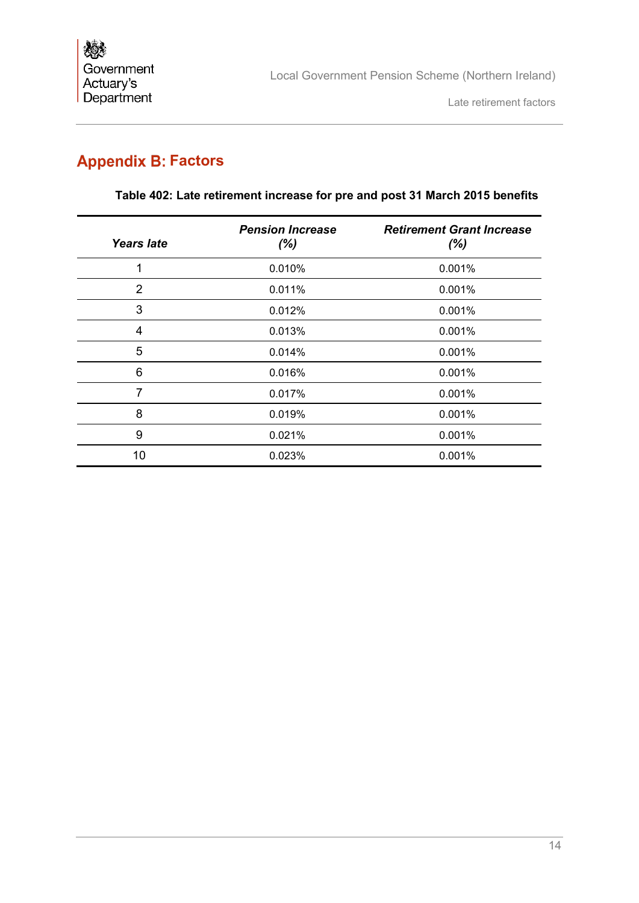# <span id="page-15-0"></span>**Appendix B: Factors**

| <b>Years late</b> | <b>Pension Increase</b><br>$(\%)$ | <b>Retirement Grant Increase</b><br>$(\%)$ |
|-------------------|-----------------------------------|--------------------------------------------|
| 1                 | 0.010%                            | 0.001%                                     |
| $\overline{2}$    | 0.011%                            | 0.001%                                     |
| 3                 | 0.012%                            | 0.001%                                     |
| 4                 | 0.013%                            | 0.001%                                     |
| 5                 | 0.014%                            | 0.001%                                     |
| 6                 | 0.016%                            | 0.001%                                     |
| 7                 | 0.017%                            | 0.001%                                     |
| 8                 | 0.019%                            | 0.001%                                     |
| 9                 | 0.021%                            | 0.001%                                     |
| 10                | 0.023%                            | 0.001%                                     |

### **Table 402: Late retirement increase for pre and post 31 March 2015 benefits**